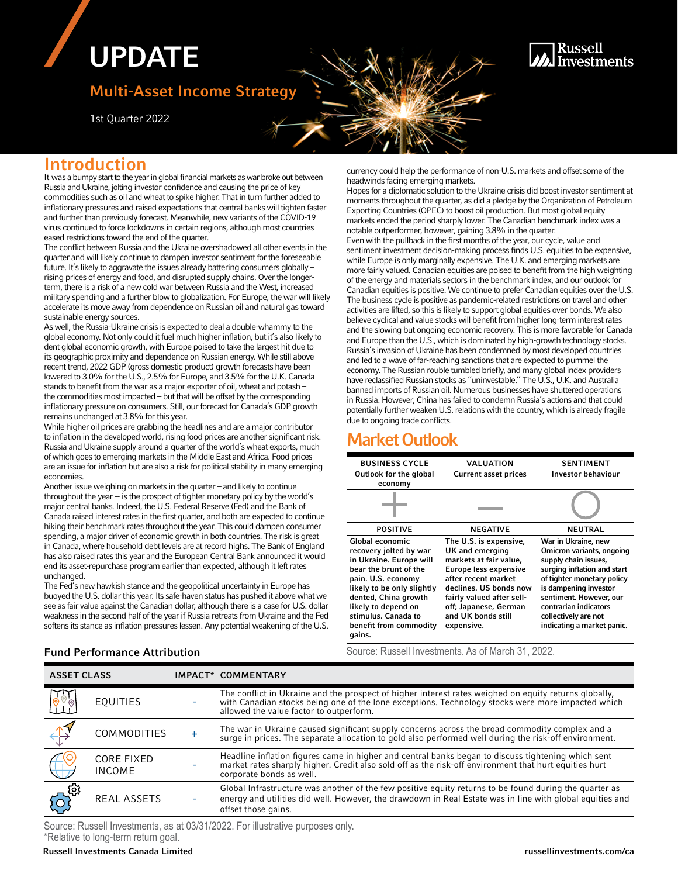# UPDATE

# Multi-Asset Income Strategy

1st Quarter 2022

## Russell **Investments**

## Introduction

It was a bumpy start to the year in global financial markets as war broke out between Russia and Ukraine, jolting investor confidence and causing the price of key commodities such as oil and wheat to spike higher. That in turn further added to inflationary pressures and raised expectations that central banks will tighten faster and further than previously forecast. Meanwhile, new variants of the COVID-19 virus continued to force lockdowns in certain regions, although most countries eased restrictions toward the end of the quarter.

The conflict between Russia and the Ukraine overshadowed all other events in the quarter and will likely continue to dampen investor sentiment for the foreseeable future. It's likely to aggravate the issues already battering consumers globally – rising prices of energy and food, and disrupted supply chains. Over the longerterm, there is a risk of a new cold war between Russia and the West, increased military spending and a further blow to globalization. For Europe, the war will likely accelerate its move away from dependence on Russian oil and natural gas toward sustainable energy sources.

As well, the Russia-Ukraine crisis is expected to deal a double-whammy to the global economy. Not only could it fuel much higher inflation, but it's also likely to dent global economic growth, with Europe poised to take the largest hit due to its geographic proximity and dependence on Russian energy. While still above recent trend, 2022 GDP (gross domestic product) growth forecasts have been lowered to 3.0% for the U.S., 2.5% for Europe, and 3.5% for the U.K. Canada stands to benefit from the war as a major exporter of oil, wheat and potash – the commodities most impacted – but that will be offset by the corresponding inflationary pressure on consumers. Still, our forecast for Canada's GDP growth remains unchanged at 3.8% for this year.

While higher oil prices are grabbing the headlines and are a major contributor to inflation in the developed world, rising food prices are another significant risk. Russia and Ukraine supply around a quarter of the world's wheat exports, much of which goes to emerging markets in the Middle East and Africa. Food prices are an issue for inflation but are also a risk for political stability in many emerging economies.

Another issue weighing on markets in the quarter – and likely to continue throughout the year -- is the prospect of tighter monetary policy by the world's major central banks. Indeed, the U.S. Federal Reserve (Fed) and the Bank of Canada raised interest rates in the first quarter, and both are expected to continue hiking their benchmark rates throughout the year. This could dampen consumer spending, a major driver of economic growth in both countries. The risk is great in Canada, where household debt levels are at record highs. The Bank of England has also raised rates this year and the European Central Bank announced it would end its asset-repurchase program earlier than expected, although it left rates unchanged.

The Fed's new hawkish stance and the geopolitical uncertainty in Europe has buoyed the U.S. dollar this year. Its safe-haven status has pushed it above what we see as fair value against the Canadian dollar, although there is a case for U.S. dollar weakness in the second half of the year if Russia retreats from Ukraine and the Fed softens its stance as inflation pressures lessen. Any potential weakening of the U.S. currency could help the performance of non-U.S. markets and offset some of the headwinds facing emerging markets.

Hopes for a diplomatic solution to the Ukraine crisis did boost investor sentiment at moments throughout the quarter, as did a pledge by the Organization of Petroleum Exporting Countries (OPEC) to boost oil production. But most global equity markets ended the period sharply lower. The Canadian benchmark index was a notable outperformer, however, gaining 3.8% in the quarter. Even with the pullback in the first months of the year, our cycle, value and sentiment investment decision-making process finds U.S. equities to be expensive, while Europe is only marginally expensive. The U.K. and emerging markets are more fairly valued. Canadian equities are poised to benefit from the high weighting of the energy and materials sectors in the benchmark index, and our outlook for Canadian equities is positive. We continue to prefer Canadian equities over the U.S. The business cycle is positive as pandemic-related restrictions on travel and other activities are lifted, so this is likely to support global equities over bonds. We also believe cyclical and value stocks will benefit from higher long-term interest rates and the slowing but ongoing economic recovery. This is more favorable for Canada and Europe than the U.S., which is dominated by high-growth technology stocks. Russia's invasion of Ukraine has been condemned by most developed countries and led to a wave of far-reaching sanctions that are expected to pummel the economy. The Russian rouble tumbled briefly, and many global index providers have reclassified Russian stocks as "uninvestable." The U.S., U.K. and Australia banned imports of Russian oil. Numerous businesses have shuttered operations in Russia. However, China has failed to condemn Russia's actions and that could potentially further weaken U.S. relations with the country, which is already fragile due to ongoing trade conflicts.

# Market Outlook

| <b>BUSINESS CYCLE</b><br>Outlook for the global<br>economy                                                                                                                                                                                                  | VALUATION<br><b>Current asset prices</b>                                                                                                                                                                                                       | <b>SENTIMENT</b><br><b>Investor behaviour</b>                                                                                                                                                                                                                            |
|-------------------------------------------------------------------------------------------------------------------------------------------------------------------------------------------------------------------------------------------------------------|------------------------------------------------------------------------------------------------------------------------------------------------------------------------------------------------------------------------------------------------|--------------------------------------------------------------------------------------------------------------------------------------------------------------------------------------------------------------------------------------------------------------------------|
|                                                                                                                                                                                                                                                             |                                                                                                                                                                                                                                                |                                                                                                                                                                                                                                                                          |
| <b>POSITIVE</b>                                                                                                                                                                                                                                             | <b>NEGATIVE</b>                                                                                                                                                                                                                                | <b>NEUTRAL</b>                                                                                                                                                                                                                                                           |
| Global economic<br>recovery jolted by war<br>in Ukraine. Europe will<br>bear the brunt of the<br>pain. U.S. economy<br>likely to be only slightly<br>dented, China growth<br>likely to depend on<br>stimulus. Canada to<br>benefit from commodity<br>gains. | The U.S. is expensive,<br>UK and emerging<br>markets at fair value,<br><b>Europe less expensive</b><br>after recent market<br>declines. US bonds now<br>fairly valued after sell-<br>off; Japanese, German<br>and UK bonds still<br>expensive. | War in Ukraine, new<br>Omicron variants, ongoing<br>supply chain issues,<br>surging inflation and start<br>of tighter monetary policy<br>is dampening investor<br>sentiment. However, our<br>contrarian indicators<br>collectively are not<br>indicating a market panic. |

**Fund Performance Attribution** Source: Russell Investments. As of March 31, 2022.

| <b>ASSET CLASS</b> |                                    | IMPACT* COMMENTARY                                                                                                                                                                                                                                    |  |  |
|--------------------|------------------------------------|-------------------------------------------------------------------------------------------------------------------------------------------------------------------------------------------------------------------------------------------------------|--|--|
|                    | <b>EQUITIES</b>                    | The conflict in Ukraine and the prospect of higher interest rates weighed on equity returns globally,<br>with Canadian stocks being one of the lone exceptions. Technology stocks were more impacted which<br>allowed the value factor to outperform. |  |  |
|                    | COMMODITIES                        | The war in Ukraine caused significant supply concerns across the broad commodity complex and a<br>surge in prices. The separate allocation to gold also performed well during the risk-off environment.                                               |  |  |
|                    | <b>CORE FIXED</b><br><b>INCOME</b> | Headline inflation figures came in higher and central banks began to discuss tightening which sent market rates sharply higher. Credit also sold off as the risk-off environment that hurt equities hurt<br>corporate bonds as well.                  |  |  |
| ු ගු               | <b>REAL ASSETS</b>                 | Global Infrastructure was another of the few positive equity returns to be found during the quarter as<br>energy and utilities did well. However, the drawdown in Real Estate was in line with global equities and<br>offset those gains.             |  |  |

Source: Russell Investments, as at 03/31/2022. For illustrative purposes only. \*Relative to long-term return goal.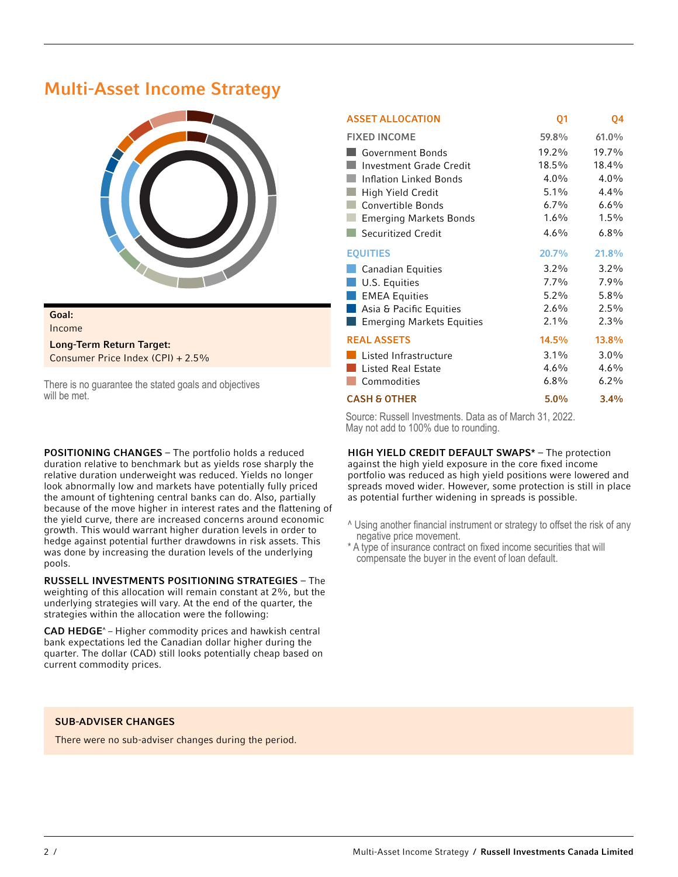# Multi-Asset Income Strategy



## Goal:

Income

Long-Term Return Target: Consumer Price Index (CPI) + 2.5%

There is no guarantee the stated goals and objectives will be met.

POSITIONING CHANGES – The portfolio holds a reduced duration relative to benchmark but as yields rose sharply the relative duration underweight was reduced. Yields no longer look abnormally low and markets have potentially fully priced the amount of tightening central banks can do. Also, partially because of the move higher in interest rates and the flattening of the yield curve, there are increased concerns around economic growth. This would warrant higher duration levels in order to hedge against potential further drawdowns in risk assets. This was done by increasing the duration levels of the underlying pools.

RUSSELL INVESTMENTS POSITIONING STRATEGIES – The weighting of this allocation will remain constant at 2%, but the underlying strategies will vary. At the end of the quarter, the strategies within the allocation were the following:

CAD HEDGE^ – Higher commodity prices and hawkish central bank expectations led the Canadian dollar higher during the quarter. The dollar (CAD) still looks potentially cheap based on current commodity prices.

### ASSET ALLOCATION 01 04 FIXED INCOME 59.8% 61.0% Government Bonds 19.2% 19.7% Investment Grade Credit 18.5% 18.4% Inflation Linked Bonds 4.0% 4.0% **High Yield Credit** 5.1% 4.4% Convertible Bonds 6.7% 6.6% Emerging Markets Bonds 1.6% 1.5% Securitized Credit 6.8% EQUITIES 20.7% 21.8% **Canadian Equities** 3.2% 3.2% **U.S. Equities** 7.7% 7.9% **EMEA Equities** 5.2% 5.8% Asia & Pacific Equities 2.6% 2.5% **Example 2.3%** Emerging Markets Equities 2.1% 2.3% REAL ASSETS 14.5% 13.8% Listed Infrastructure 3.1% 3.0% Listed Real Estate 4.6% 4.6% Commodities 6.8% 6.2% CASH & OTHER 5.0% 3.4%

Source: Russell Investments. Data as of March 31, 2022. May not add to 100% due to rounding.

HIGH YIELD CREDIT DEFAULT SWAPS\* – The protection against the high yield exposure in the core fixed income portfolio was reduced as high yield positions were lowered and spreads moved wider. However, some protection is still in place as potential further widening in spreads is possible.

- ^ Using another financial instrument or strategy to offset the risk of any negative price movement.
- \* A type of insurance contract on fixed income securities that will compensate the buyer in the event of loan default.

#### SUB-ADVISER CHANGES

There were no sub-adviser changes during the period.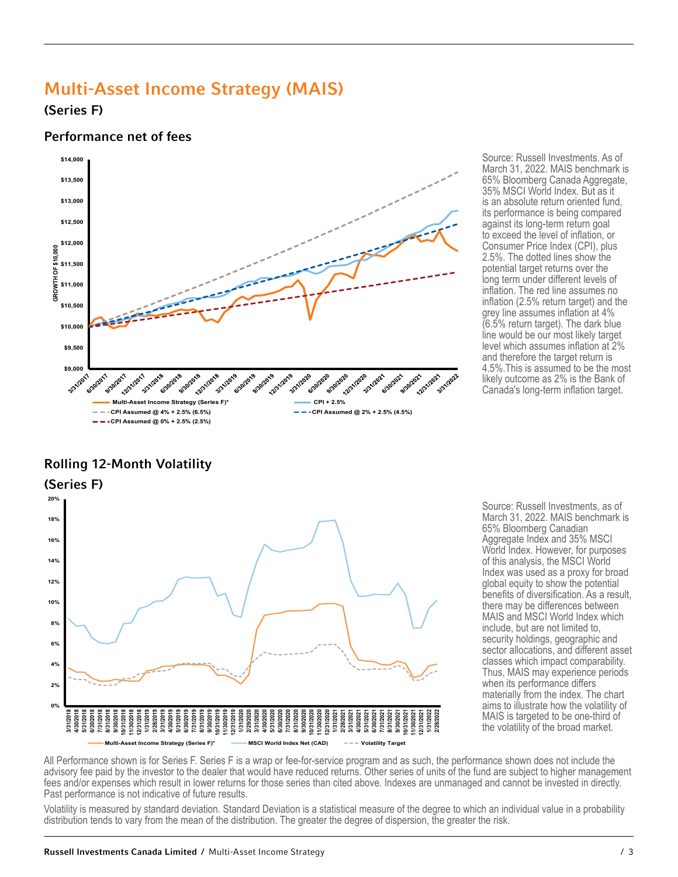# Multi-Asset Income Strategy (MAIS)

(Series F)

## Performance net of fees



# Rolling 12-Month Volatility



Source: Russell Investments. As of March 31, 2022. MAIS benchmark is 65% Bloomberg Canada Aggregate, 35% MSCI World Index. But as it is an absolute return oriented fund, its performance is being compared against its long-term return goal to exceed the level of inflation, or Consumer Price Index (CPI), plus 2.5%. The dotted lines show the potential target returns over the long term under different levels of inflation. The red line assumes no inflation (2.5% return target) and the grey line assumes inflation at 4% (6.5% return target). The dark blue line would be our most likely target level which assumes inflation at 2% and therefore the target return is 4.5%.This is assumed to be the most likely outcome as 2% is the Bank of Canada's long-term inflation target.

Source: Russell Investments, as of March 31, 2022. MAIS benchmark is 65% Bloomberg Canadian Aggregate Index and 35% MSCI World Index. However, for purposes of this analysis, the MSCI World Index was used as a proxy for broad global equity to show the potential benefits of diversification. As a result, there may be differences between MAIS and MSCI World Index which include, but are not limited to, security holdings, geographic and sector allocations, and different asset classes which impact comparability. Thus, MAIS may experience periods when its performance differs materially from the index. The chart aims to illustrate how the volatility of MAIS is targeted to be one-third of the volatility of the broad market.

All Performance shown is for Series F. Series F is a wrap or fee-for-service program and as such, the performance shown does not include the advisory fee paid by the investor to the dealer that would have reduced returns. Other series of units of the fund are subject to higher management fees and/or expenses which result in lower returns for those series than cited above. Indexes are unmanaged and cannot be invested in directly.<br>Past performance is not indicative of future results.

Volatility is measured by standard deviation. Standard Deviation is a statistical measure of the degree to which an individual value in a probability distribution tends to vary from the mean of the distribution. The greater the degree of dispersion, the greater the risk.